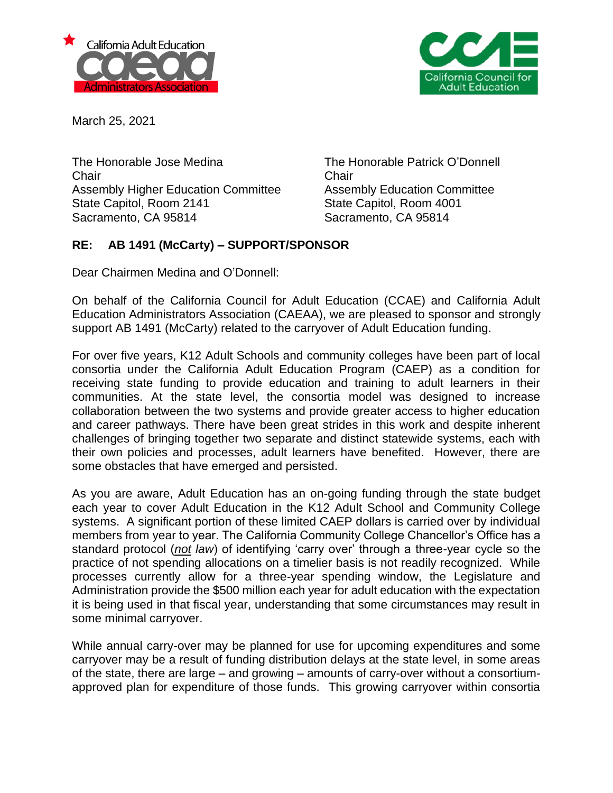



March 25, 2021

The Honorable Jose Medina The Honorable Patrick O'Donnell Chair Chair Assembly Higher Education Committee Assembly Education Committee State Capitol, Room 2141 State Capitol, Room 4001 Sacramento, CA 95814 Sacramento, CA 95814

## **RE: AB 1491 (McCarty) – SUPPORT/SPONSOR**

Dear Chairmen Medina and O'Donnell:

On behalf of the California Council for Adult Education (CCAE) and California Adult Education Administrators Association (CAEAA), we are pleased to sponsor and strongly support AB 1491 (McCarty) related to the carryover of Adult Education funding.

For over five years, K12 Adult Schools and community colleges have been part of local consortia under the California Adult Education Program (CAEP) as a condition for receiving state funding to provide education and training to adult learners in their communities. At the state level, the consortia model was designed to increase collaboration between the two systems and provide greater access to higher education and career pathways. There have been great strides in this work and despite inherent challenges of bringing together two separate and distinct statewide systems, each with their own policies and processes, adult learners have benefited. However, there are some obstacles that have emerged and persisted.

As you are aware, Adult Education has an on-going funding through the state budget each year to cover Adult Education in the K12 Adult School and Community College systems. A significant portion of these limited CAEP dollars is carried over by individual members from year to year. The California Community College Chancellor's Office has a standard protocol (*not law*) of identifying 'carry over' through a three-year cycle so the practice of not spending allocations on a timelier basis is not readily recognized. While processes currently allow for a three-year spending window, the Legislature and Administration provide the \$500 million each year for adult education with the expectation it is being used in that fiscal year, understanding that some circumstances may result in some minimal carryover.

While annual carry-over may be planned for use for upcoming expenditures and some carryover may be a result of funding distribution delays at the state level, in some areas of the state, there are large – and growing – amounts of carry-over without a consortiumapproved plan for expenditure of those funds. This growing carryover within consortia